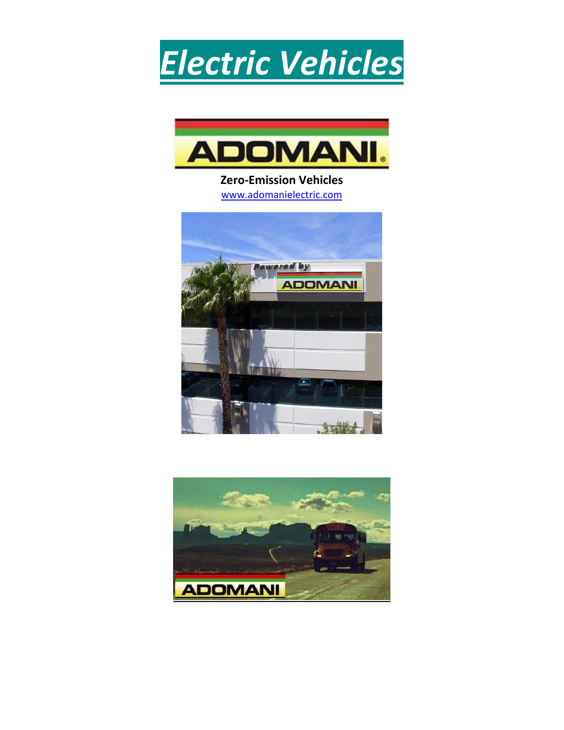



**Zero-Emission Vehicles** [www.adomanielectric.com](http://www.adomanielectric.com/)



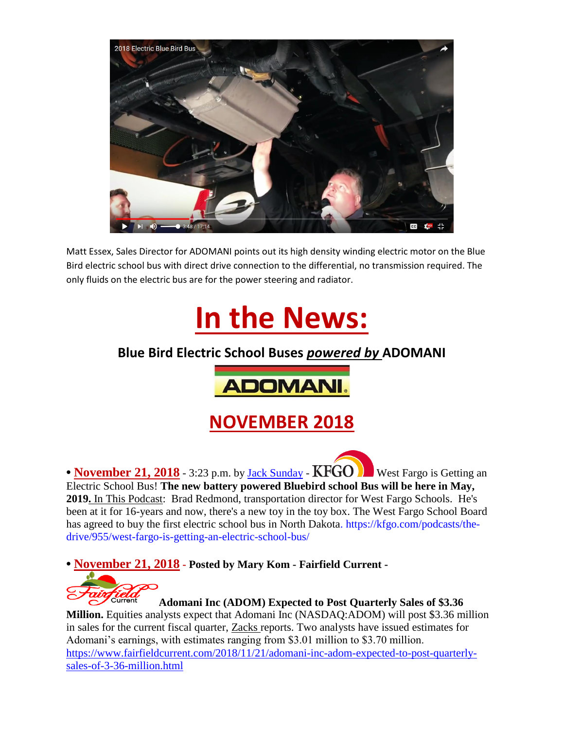

Matt Essex, Sales Director for ADOMANI points out its high density winding electric motor on the Blue Bird electric school bus with direct drive connection to the differential, no transmission required. The only fluids on the electric bus are for the power steering and radiator.



### **Blue Bird Electric School Buses** *powered by* **ADOMANI**



## **NOVEMBER 2018**

• **November 21, 2018** - 3:23 p.m. by [Jack Sunday](https://kfgo.com/latest-updates/authors/955/) - **KFGO D** West Fargo is Getting an Electric School Bus! **The new battery powered Bluebird school Bus will be here in May, 2019.** In This Podcast: Brad Redmond, transportation director for West Fargo Schools. He's been at it for 16-years and now, there's a new toy in the toy box. The West Fargo School Board has agreed to buy the first electric school bus in North Dakota. https://kfgo.com/podcasts/thedrive/955/west-fargo-is-getting-an-electric-school-bus/

**• November 21, 2018 - Posted by [Mary Kom](https://www.fairfieldcurrent.com/author/fairmary) - Fairfield Current -**



#### **Adomani Inc (ADOM) Expected to Post Quarterly Sales of \$3.36**

**Million.** Equities analysts expect that Adomani Inc (NASDAQ:ADOM) will post \$3.36 million in sales for the current fiscal quarter, [Zacks](https://www.americanconsumernews.net/scripts/click.aspx?Zacks=1) reports. Two analysts have issued estimates for Adomani's earnings, with estimates ranging from \$3.01 million to \$3.70 million. [https://www.fairfieldcurrent.com/2018/11/21/adomani-inc-adom-expected-to-post-quarterly](https://www.fairfieldcurrent.com/2018/11/21/adomani-inc-adom-expected-to-post-quarterly-sales-of-3-36-million.html)[sales-of-3-36-million.html](https://www.fairfieldcurrent.com/2018/11/21/adomani-inc-adom-expected-to-post-quarterly-sales-of-3-36-million.html)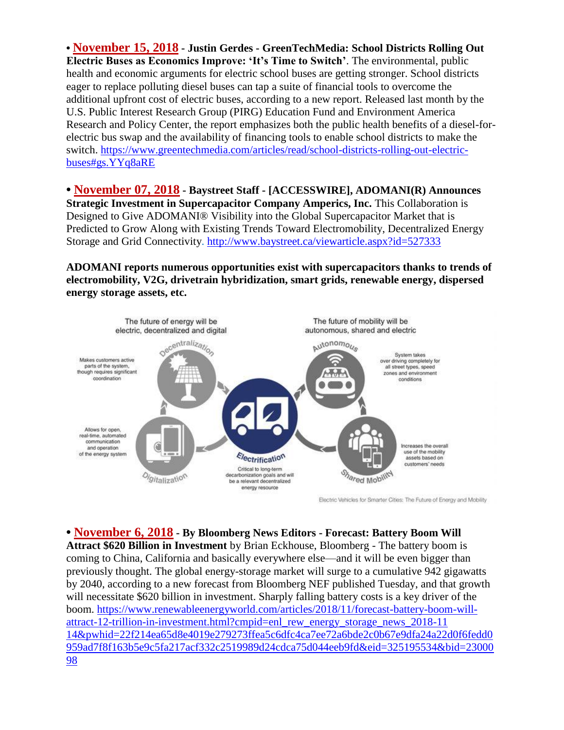**• November 15, 2018 - Justin Gerdes - GreenTechMedia: School Districts Rolling Out Electric Buses as Economics Improve: 'It's Time to Switch'**. The environmental, public health and economic arguments for electric school buses are getting stronger. School districts eager to replace polluting diesel buses can tap a suite of financial tools to overcome the additional upfront cost of electric buses, according to a new report. Released last month by the U.S. Public Interest Research Group (PIRG) Education Fund and Environment America Research and Policy Center, the report emphasizes both the public health benefits of a diesel-forelectric bus swap and the availability of financing tools to enable school districts to make the switch. https://www.greentechmedia.com/articles/read/school-districts-rolling-out-electricbuses#gs.YYq8aRE

**• November 07, 2018 - Baystreet Staff - [ACCESSWIRE], ADOMANI(R) Announces Strategic Investment in Supercapacitor Company Amperics, Inc. This Collaboration is** Designed to Give ADOMANI® Visibility into the Global Supercapacitor Market that is Predicted to Grow Along with Existing Trends Toward Electromobility, Decentralized Energy Storage and Grid Connectivity.<http://www.baystreet.ca/viewarticle.aspx?id=527333>

**ADOMANI reports numerous opportunities exist with supercapacitors thanks to trends of electromobility, V2G, drivetrain hybridization, smart grids, renewable energy, dispersed energy storage assets, etc.**



Electric Vehicles for Smarter Cities: The Future of Energy and Mobility

**• November 6, 2018 - By Bloomberg News Editors - Forecast: Battery Boom Will Attract \$620 Billion in Investment** by Brian Eckhouse, Bloomberg - The battery boom is coming to China, California and basically everywhere else—and it will be even bigger than previously thought. The global energy-storage market will surge to a cumulative 942 gigawatts by 2040, according to a new forecast from Bloomberg NEF published Tuesday, and that growth will necessitate \$620 billion in investment. Sharply falling battery costs is a key driver of the boom. [https://www.renewableenergyworld.com/articles/2018/11/forecast-battery-boom-will](https://www.renewableenergyworld.com/articles/2018/11/forecast-battery-boom-will-attract-12-trillion-in-investment.html?cmpid=enl_rew_energy_storage_news_2018-11)[attract-12-trillion-in-investment.html?cmpid=enl\\_rew\\_energy\\_storage\\_news\\_2018-11](https://www.renewableenergyworld.com/articles/2018/11/forecast-battery-boom-will-attract-12-trillion-in-investment.html?cmpid=enl_rew_energy_storage_news_2018-11) 14&pwhid=22f214ea65d8e4019e279273ffea5c6dfc4ca7ee72a6bde2c0b67e9dfa24a22d0f6fedd0 959ad7f8f163b5e9c5fa217acf332c2519989d24cdca75d044eeb9fd&eid=325195534&bid=23000 98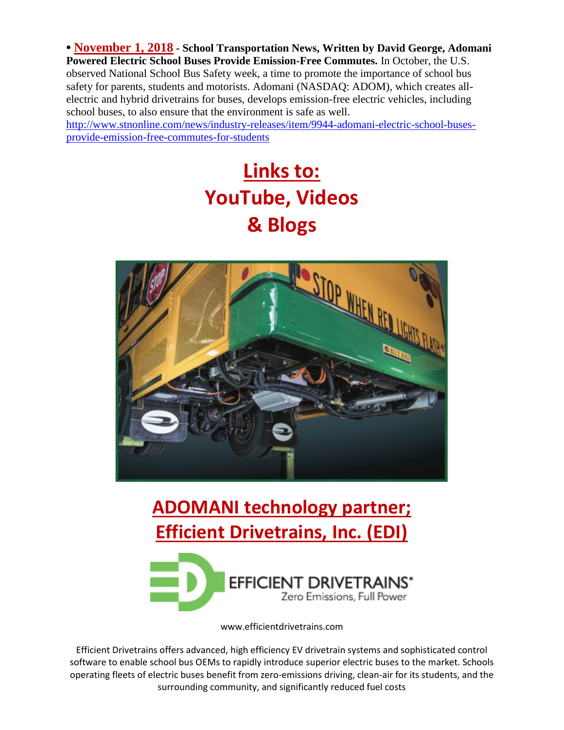**• November 1, 2018 - School Transportation News, Written by [David George, Adomani](file:///C:/Users/Skeeter/Documents/Skeeter/Spirit%20of%20California/ADOMANI%20Marketing%202018/SOC%20Elec.%20Vehicles%20website%20-%20ADOMANI%20+/David%20George,%20Adomani%20Powered%20Electric%20School%20Buses%20Provide%20Emission-Free%20Commutes.%20In%20October,%20the%20U.S.%20observed%20National%20School%20Bus%20Safety%20week,%20a%20time%20to%20promote%20the%20importance%20of%20school%20bus%20safety%20for%20parents,%20students%20and%20motorists.%20Adomani%20(NASDAQ:%20ADOM),%20which%20creates%20all-electric%20and%20hybrid%20drivetrains%20for%20buses,%20develops%20emission-free%20electric%20vehicles,%20including%20school%20buses,%20to%20also%20ensure%20that%20the%20environment%20is%20safe%20as%20well.%20http:/www.stnonline.com/news/industry-releases/item/9944-adomani-electric-school-buses-provide-emission-free-commutes-for-students)  [Powered Electric School Buses Provide Emission-Free Commutes.](file:///C:/Users/Skeeter/Documents/Skeeter/Spirit%20of%20California/ADOMANI%20Marketing%202018/SOC%20Elec.%20Vehicles%20website%20-%20ADOMANI%20+/David%20George,%20Adomani%20Powered%20Electric%20School%20Buses%20Provide%20Emission-Free%20Commutes.%20In%20October,%20the%20U.S.%20observed%20National%20School%20Bus%20Safety%20week,%20a%20time%20to%20promote%20the%20importance%20of%20school%20bus%20safety%20for%20parents,%20students%20and%20motorists.%20Adomani%20(NASDAQ:%20ADOM),%20which%20creates%20all-electric%20and%20hybrid%20drivetrains%20for%20buses,%20develops%20emission-free%20electric%20vehicles,%20including%20school%20buses,%20to%20also%20ensure%20that%20the%20environment%20is%20safe%20as%20well.%20http:/www.stnonline.com/news/industry-releases/item/9944-adomani-electric-school-buses-provide-emission-free-commutes-for-students)** In October, the U.S. [observed National School Bus Safety week, a time](file:///C:/Users/Skeeter/Documents/Skeeter/Spirit%20of%20California/ADOMANI%20Marketing%202018/SOC%20Elec.%20Vehicles%20website%20-%20ADOMANI%20+/David%20George,%20Adomani%20Powered%20Electric%20School%20Buses%20Provide%20Emission-Free%20Commutes.%20In%20October,%20the%20U.S.%20observed%20National%20School%20Bus%20Safety%20week,%20a%20time%20to%20promote%20the%20importance%20of%20school%20bus%20safety%20for%20parents,%20students%20and%20motorists.%20Adomani%20(NASDAQ:%20ADOM),%20which%20creates%20all-electric%20and%20hybrid%20drivetrains%20for%20buses,%20develops%20emission-free%20electric%20vehicles,%20including%20school%20buses,%20to%20also%20ensure%20that%20the%20environment%20is%20safe%20as%20well.%20http:/www.stnonline.com/news/industry-releases/item/9944-adomani-electric-school-buses-provide-emission-free-commutes-for-students) to promote the importance of school bus [safety for parents, students and motorists. Adomani \(NASDAQ: ADOM\), which creates all](file:///C:/Users/Skeeter/Documents/Skeeter/Spirit%20of%20California/ADOMANI%20Marketing%202018/SOC%20Elec.%20Vehicles%20website%20-%20ADOMANI%20+/David%20George,%20Adomani%20Powered%20Electric%20School%20Buses%20Provide%20Emission-Free%20Commutes.%20In%20October,%20the%20U.S.%20observed%20National%20School%20Bus%20Safety%20week,%20a%20time%20to%20promote%20the%20importance%20of%20school%20bus%20safety%20for%20parents,%20students%20and%20motorists.%20Adomani%20(NASDAQ:%20ADOM),%20which%20creates%20all-electric%20and%20hybrid%20drivetrains%20for%20buses,%20develops%20emission-free%20electric%20vehicles,%20including%20school%20buses,%20to%20also%20ensure%20that%20the%20environment%20is%20safe%20as%20well.%20http:/www.stnonline.com/news/industry-releases/item/9944-adomani-electric-school-buses-provide-emission-free-commutes-for-students)[electric and hybrid drivetrains for buses, develops emission-free electric vehicles, including](file:///C:/Users/Skeeter/Documents/Skeeter/Spirit%20of%20California/ADOMANI%20Marketing%202018/SOC%20Elec.%20Vehicles%20website%20-%20ADOMANI%20+/David%20George,%20Adomani%20Powered%20Electric%20School%20Buses%20Provide%20Emission-Free%20Commutes.%20In%20October,%20the%20U.S.%20observed%20National%20School%20Bus%20Safety%20week,%20a%20time%20to%20promote%20the%20importance%20of%20school%20bus%20safety%20for%20parents,%20students%20and%20motorists.%20Adomani%20(NASDAQ:%20ADOM),%20which%20creates%20all-electric%20and%20hybrid%20drivetrains%20for%20buses,%20develops%20emission-free%20electric%20vehicles,%20including%20school%20buses,%20to%20also%20ensure%20that%20the%20environment%20is%20safe%20as%20well.%20http:/www.stnonline.com/news/industry-releases/item/9944-adomani-electric-school-buses-provide-emission-free-commutes-for-students)  [school buses, to also ensure that the environment is safe as well.](file:///C:/Users/Skeeter/Documents/Skeeter/Spirit%20of%20California/ADOMANI%20Marketing%202018/SOC%20Elec.%20Vehicles%20website%20-%20ADOMANI%20+/David%20George,%20Adomani%20Powered%20Electric%20School%20Buses%20Provide%20Emission-Free%20Commutes.%20In%20October,%20the%20U.S.%20observed%20National%20School%20Bus%20Safety%20week,%20a%20time%20to%20promote%20the%20importance%20of%20school%20bus%20safety%20for%20parents,%20students%20and%20motorists.%20Adomani%20(NASDAQ:%20ADOM),%20which%20creates%20all-electric%20and%20hybrid%20drivetrains%20for%20buses,%20develops%20emission-free%20electric%20vehicles,%20including%20school%20buses,%20to%20also%20ensure%20that%20the%20environment%20is%20safe%20as%20well.%20http:/www.stnonline.com/news/industry-releases/item/9944-adomani-electric-school-buses-provide-emission-free-commutes-for-students) 

[http://www.stnonline.com/news/industry-releases/item/9944-adomani-electric-school-buses](file:///C:/Users/Skeeter/Documents/Skeeter/Spirit%20of%20California/ADOMANI%20Marketing%202018/SOC%20Elec.%20Vehicles%20website%20-%20ADOMANI%20+/David%20George,%20Adomani%20Powered%20Electric%20School%20Buses%20Provide%20Emission-Free%20Commutes.%20In%20October,%20the%20U.S.%20observed%20National%20School%20Bus%20Safety%20week,%20a%20time%20to%20promote%20the%20importance%20of%20school%20bus%20safety%20for%20parents,%20students%20and%20motorists.%20Adomani%20(NASDAQ:%20ADOM),%20which%20creates%20all-electric%20and%20hybrid%20drivetrains%20for%20buses,%20develops%20emission-free%20electric%20vehicles,%20including%20school%20buses,%20to%20also%20ensure%20that%20the%20environment%20is%20safe%20as%20well.%20http:/www.stnonline.com/news/industry-releases/item/9944-adomani-electric-school-buses-provide-emission-free-commutes-for-students)[provide-emission-free-commutes-for-students](file:///C:/Users/Skeeter/Documents/Skeeter/Spirit%20of%20California/ADOMANI%20Marketing%202018/SOC%20Elec.%20Vehicles%20website%20-%20ADOMANI%20+/David%20George,%20Adomani%20Powered%20Electric%20School%20Buses%20Provide%20Emission-Free%20Commutes.%20In%20October,%20the%20U.S.%20observed%20National%20School%20Bus%20Safety%20week,%20a%20time%20to%20promote%20the%20importance%20of%20school%20bus%20safety%20for%20parents,%20students%20and%20motorists.%20Adomani%20(NASDAQ:%20ADOM),%20which%20creates%20all-electric%20and%20hybrid%20drivetrains%20for%20buses,%20develops%20emission-free%20electric%20vehicles,%20including%20school%20buses,%20to%20also%20ensure%20that%20the%20environment%20is%20safe%20as%20well.%20http:/www.stnonline.com/news/industry-releases/item/9944-adomani-electric-school-buses-provide-emission-free-commutes-for-students)

# **Links to: YouTube, Videos & Blogs**



# **[ADOMANI](http://pr.report/krue1s39) technology partner; Efficient Drivetrains, Inc. (EDI)**



www.efficientdrivetrains.com

Efficient Drivetrains offers advanced, high efficiency EV drivetrain systems and sophisticated control software to enable school bus OEMs to rapidly introduce superior electric buses to the market. Schools operating fleets of electric buses benefit from zero-emissions driving, clean-air for its students, and the surrounding community, and significantly reduced fuel costs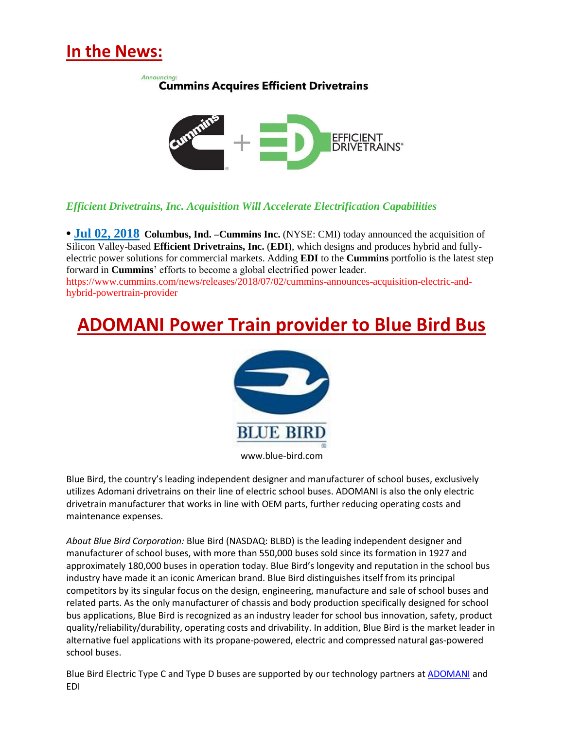## **In the News:**

Announcing: **Cummins Acquires Efficient Drivetrains** 



#### *Efficient Drivetrains, Inc. Acquisition Will Accelerate Electrification Capabilities*

**• Jul 02, 2018 Columbus, Ind. –Cummins Inc.** (NYSE: CMI) today announced the acquisition of Silicon Valley-based **Efficient Drivetrains, Inc.** (**EDI**), which designs and produces hybrid and fullyelectric power solutions for commercial markets. Adding **EDI** to the **Cummins** portfolio is the latest step forward in **Cummins**' efforts to become a global electrified power leader. https://www.cummins.com/news/releases/2018/07/02/cummins-announces-acquisition-electric-andhybrid-powertrain-provider

## **[ADOMANI](http://pr.report/krue1s39) Power Train provider to Blue Bird Bus**



www.blue-bird.com

Blue Bird, the country's leading independent designer and manufacturer of school buses, exclusively utilizes Adomani drivetrains on their line of electric school buses. ADOMANI is also the only electric drivetrain manufacturer that works in line with OEM parts, further reducing operating costs and maintenance expenses.

*About Blue Bird Corporation:* Blue Bird (NASDAQ: BLBD) is the leading independent designer and manufacturer of school buses, with more than 550,000 buses sold since its formation in 1927 and approximately 180,000 buses in operation today. Blue Bird's longevity and reputation in the school bus industry have made it an iconic American brand. Blue Bird distinguishes itself from its principal competitors by its singular focus on the design, engineering, manufacture and sale of school buses and related parts. As the only manufacturer of chassis and body production specifically designed for school bus applications, Blue Bird is recognized as an industry leader for school bus innovation, safety, product quality/reliability/durability, operating costs and drivability. In addition, Blue Bird is the market leader in alternative fuel applications with its propane-powered, electric and compressed natural gas-powered school buses.

Blue Bird Electric Type C and Type D buses are supported by our technology partners a[t ADOMANI](http://cts.businesswire.com/ct/CT?id=smartlink&url=http%3A%2F%2Fwww.adomanielectric.com%2F&esheet=51785136&newsitemid=20180407005037&lan=en-US&anchor=ADOMANI&index=3&md5=c8456e6a039625929a5cfbc317cd495f) and EDI